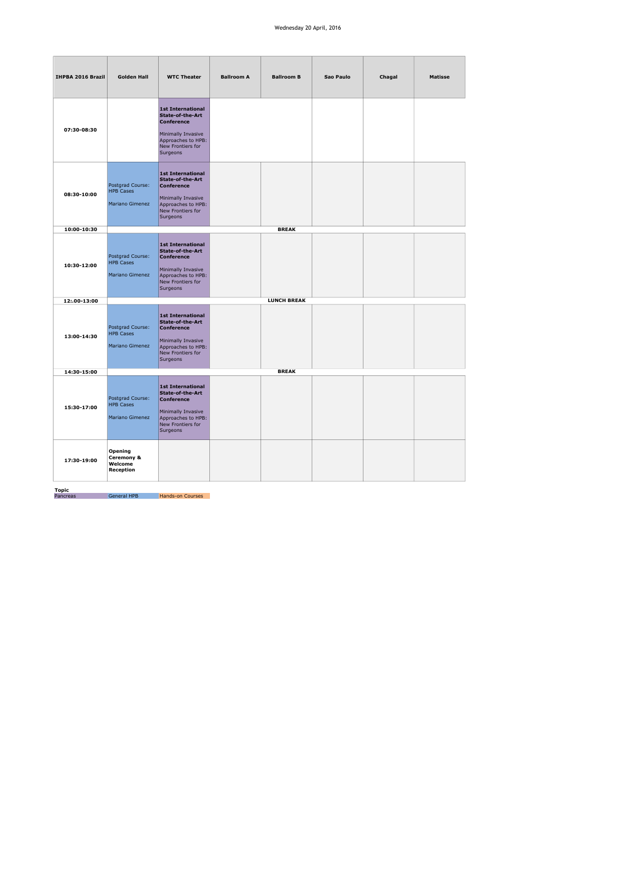## Wednesday 20 April, 2016

| IHPBA 2016 Brazil | <b>Golden Hall</b>                                             | <b>WTC Theater</b>                                                                                                                                    | <b>Ballroom A</b> | <b>Ballroom B</b>  | Sao Paulo | Chagal | <b>Matisse</b> |
|-------------------|----------------------------------------------------------------|-------------------------------------------------------------------------------------------------------------------------------------------------------|-------------------|--------------------|-----------|--------|----------------|
| 07:30-08:30       |                                                                | <b>1st International</b><br><b>State-of-the-Art</b><br><b>Conference</b><br>Minimally Invasive<br>Approaches to HPB:<br>New Frontiers for<br>Surgeons |                   |                    |           |        |                |
| 08:30-10:00       | Postgrad Course:<br><b>HPB Cases</b><br><b>Mariano Gimenez</b> | <b>1st International</b><br><b>State-of-the-Art</b><br><b>Conference</b><br>Minimally Invasive<br>Approaches to HPB:<br>New Frontiers for<br>Surgeons |                   |                    |           |        |                |
| 10:00-10:30       |                                                                |                                                                                                                                                       |                   | <b>BREAK</b>       |           |        |                |
| 10:30-12:00       | Postgrad Course:<br><b>HPB Cases</b><br>Mariano Gimenez        | <b>1st International</b><br><b>State-of-the-Art</b><br><b>Conference</b><br>Minimally Invasive<br>Approaches to HPB:<br>New Frontiers for<br>Surgeons |                   |                    |           |        |                |
| 12:.00-13:00      |                                                                |                                                                                                                                                       |                   | <b>LUNCH BREAK</b> |           |        |                |
| 13:00-14:30       | Postgrad Course:<br><b>HPB Cases</b><br>Mariano Gimenez        | <b>1st International</b><br><b>State-of-the-Art</b><br><b>Conference</b><br>Minimally Invasive<br>Approaches to HPB:<br>New Frontiers for<br>Surgeons |                   |                    |           |        |                |
| 14:30-15:00       |                                                                |                                                                                                                                                       |                   | <b>BREAK</b>       |           |        |                |
| 15:30-17:00       | Postgrad Course:<br><b>HPB Cases</b><br>Mariano Gimenez        | <b>1st International</b><br>State-of-the-Art<br><b>Conference</b><br>Minimally Invasive<br>Approaches to HPB:<br>New Frontiers for<br>Surgeons        |                   |                    |           |        |                |
| 17:30-19:00       | Opening<br>Ceremony &<br>Welcome<br>Reception                  |                                                                                                                                                       |                   |                    |           |        |                |

Topic Pancreas General HPB Hands-on Courses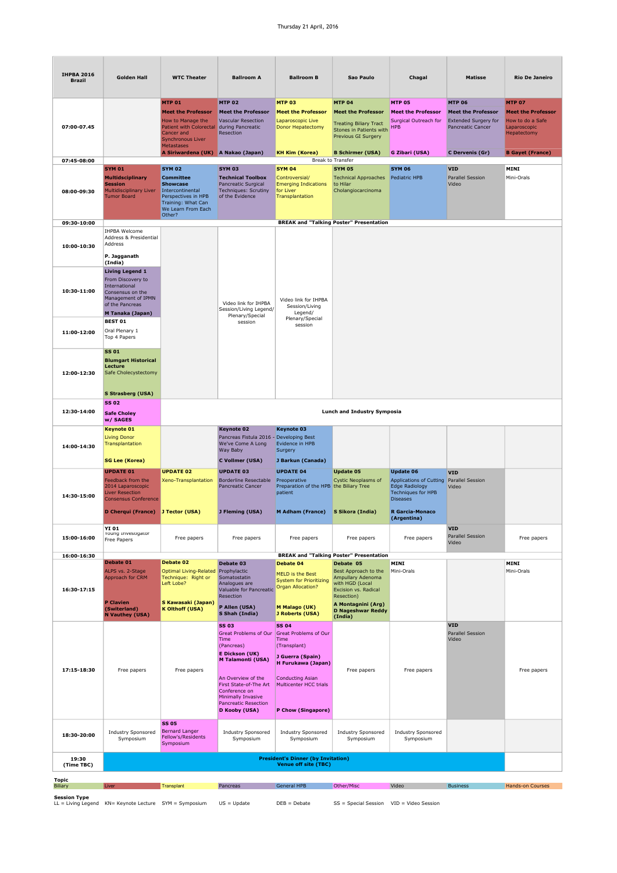## Thursday 21 April, 2016

| <b>IHPBA 2016</b><br><b>Brazil</b> | <b>Golden Hall</b>                                                                                                                                       | <b>WTC Theater</b>                                                                                                                                        | <b>Ballroom A</b>                                                                                                                             | <b>Ballroom B</b>                                                                                                                         | Sao Paulo                                                                                                                             | Chagal                                                                                                                                                           | <b>Matisse</b>                                                                                        | <b>Rio De Janeiro</b>                                                                         |
|------------------------------------|----------------------------------------------------------------------------------------------------------------------------------------------------------|-----------------------------------------------------------------------------------------------------------------------------------------------------------|-----------------------------------------------------------------------------------------------------------------------------------------------|-------------------------------------------------------------------------------------------------------------------------------------------|---------------------------------------------------------------------------------------------------------------------------------------|------------------------------------------------------------------------------------------------------------------------------------------------------------------|-------------------------------------------------------------------------------------------------------|-----------------------------------------------------------------------------------------------|
| 07:00-07.45                        |                                                                                                                                                          | <b>MTP 01</b><br><b>Meet the Professor</b><br>How to Manage the<br>Patient with Colorectal<br>Cancer and<br><b>Synchronous Liver</b><br><b>Metastases</b> | <b>MTP 02</b><br><b>Meet the Professor</b><br><b>Vascular Resection</b><br>during Pancreatic<br>Resection                                     | <b>MTP 03</b><br><b>Meet the Professor</b><br>Laparoscopic Live<br>Donor Hepatectomy                                                      | <b>MTP 04</b><br><b>Meet the Professor</b><br><b>Treating Biliary Tract</b><br>Stones in Patients with<br>Previous GI Surgery         | <b>MTP 05</b><br><b>Meet the Professor</b><br>Surgical Outreach for<br><b>HPB</b>                                                                                | <b>MTP 06</b><br><b>Meet the Professor</b><br><b>Extended Surgery for</b><br><b>Pancreatic Cancer</b> | <b>MTP 07</b><br><b>Meet the Professor</b><br>How to do a Safe<br>Laparoscopic<br>Hepatectomy |
| 07:45-08:00                        |                                                                                                                                                          | A Siriwardena (UK) A Nakao (Japan)                                                                                                                        |                                                                                                                                               | <b>KH Kim (Korea)</b>                                                                                                                     | <b>B Schirmer (USA)</b><br>Break to Transfer                                                                                          | G Zibari (USA)                                                                                                                                                   | C Dervenis (Gr)                                                                                       | <b>B Gayet (France)</b>                                                                       |
| 08:00-09:30                        | <b>SYM 01</b><br><b>Multidsciplinary</b><br><b>Session</b><br><b>Multidisciplinary Liver</b><br><b>Tumor Board</b>                                       | <b>SYM 02</b><br><b>Committee</b><br><b>Showcase</b><br>Intercontinental<br>Perspectives in HPB<br>Training: What Can<br>We Learn From Each<br>Other?     | <b>SYM 03</b><br><b>Technical Toolbox</b><br>Pancreatic Surgical<br>Techniques: Scrutiny<br>of the Evidence                                   | <b>SYM 04</b><br>Controversial/<br><b>Emerging Indications</b><br>for Liver<br>Transplantation                                            | <b>SYM 05</b><br><b>Technical Approaches</b><br>to Hilar<br>Cholangiocarcinoma                                                        | <b>SYM 06</b><br>Pediatric HPB                                                                                                                                   | <b>VID</b><br>Parallel Session<br>Video                                                               | MINI<br>Mini-Orals                                                                            |
| 09:30-10:00                        |                                                                                                                                                          |                                                                                                                                                           |                                                                                                                                               |                                                                                                                                           | <b>BREAK and "Talking Poster" Presentation</b>                                                                                        |                                                                                                                                                                  |                                                                                                       |                                                                                               |
| 10:00-10:30                        | <b>IHPBA Welcome</b><br>Address & Presidential<br>Address<br>P. Jagganath                                                                                |                                                                                                                                                           |                                                                                                                                               |                                                                                                                                           |                                                                                                                                       |                                                                                                                                                                  |                                                                                                       |                                                                                               |
| 10:30-11:00                        | (India)<br><b>Living Legend 1</b><br>From Discovery to<br>International<br>Consensus on the<br>Management of IPMN<br>of the Pancreas<br>M Tanaka (Japan) |                                                                                                                                                           | Video link for IHPBA<br>Session/Living Legend/<br>Plenary/Special<br>session                                                                  | Video link for IHPBA<br>Session/Living<br>Legend/<br>Plenary/Special<br>session                                                           |                                                                                                                                       |                                                                                                                                                                  |                                                                                                       |                                                                                               |
| 11:00-12:00                        | <b>BEST 01</b><br>Oral Plenary 1<br>Top 4 Papers                                                                                                         |                                                                                                                                                           |                                                                                                                                               |                                                                                                                                           |                                                                                                                                       |                                                                                                                                                                  |                                                                                                       |                                                                                               |
| 12:00-12:30                        | <b>SS 01</b><br><b>Blumgart Historical</b><br>Lecture<br>Safe Cholecystectomy<br>S Strasberg (USA)                                                       |                                                                                                                                                           |                                                                                                                                               |                                                                                                                                           |                                                                                                                                       |                                                                                                                                                                  |                                                                                                       |                                                                                               |
| 12:30-14:00                        | SS 02<br><b>Safe Choley</b><br>w/ SAGES                                                                                                                  |                                                                                                                                                           |                                                                                                                                               |                                                                                                                                           | <b>Lunch and Industry Symposia</b>                                                                                                    |                                                                                                                                                                  |                                                                                                       |                                                                                               |
| 14:00-14:30                        | <b>Keynote 01</b><br><b>Living Donor</b><br>Transplantation<br><b>SG Lee (Korea)</b>                                                                     |                                                                                                                                                           | <b>Keynote 02</b><br>Pancreas Fistula 2016 - Developing Best<br>We've Come A Long<br>Way Baby<br>C Vollmer (USA)                              | <b>Keynote 03</b><br>Evidence in HPB<br>Surgery<br>J Barkun (Canada)                                                                      |                                                                                                                                       |                                                                                                                                                                  |                                                                                                       |                                                                                               |
| 14:30-15:00                        | <b>UPDATE 01</b><br>Feedback from the<br>2014 Laparoscopic<br><b>Liver Resection</b><br><b>Consensus Conference</b><br>D Cherqui (France) J Tector (USA) | <b>UPDATE 02</b><br>Xeno-Transplantation                                                                                                                  | <b>UPDATE 03</b><br><b>Borderline Resectable</b><br>Pancreatic Cancer<br>J Fleming (USA)                                                      | <b>UPDATE 04</b><br>Preoperative<br>Preparation of the HPB the Biliary Tree<br>patient<br><b>M Adham (France)</b>                         | <b>Update 05</b><br><b>Cystic Neoplasms of</b><br>S Sikora (India)                                                                    | <b>Update 06</b><br>Applications of Cutting Parallel Session<br>Edge Radiology<br><b>Techniques for HPB</b><br><b>Diseases</b><br>R Garcia-Monaco<br>(Argentina) | <b>VID</b><br>Video                                                                                   |                                                                                               |
| 15:00-16:00                        | YI 01<br>roung investigator<br>Free Papers                                                                                                               | Free papers                                                                                                                                               | Free papers                                                                                                                                   | Free papers                                                                                                                               | Free papers                                                                                                                           | Free papers                                                                                                                                                      | <b>VID</b><br>Parallel Session<br>Video                                                               | Free papers                                                                                   |
| 16:00-16:30                        |                                                                                                                                                          |                                                                                                                                                           |                                                                                                                                               |                                                                                                                                           | <b>BREAK and "Talking Poster" Presentation</b>                                                                                        |                                                                                                                                                                  |                                                                                                       |                                                                                               |
| 16:30-17:15                        | Debate 01<br>ALPS vs. 2-Stage<br>Approach for CRM<br><b>P</b> Clavien                                                                                    | Debate 02<br>Optimal Living-Related Prophylactic<br>Technique: Right or<br>Left Lobe?<br>S Kawasaki (Japan)                                               | Debate 03<br>Somatostatin<br>Analogues are<br>Valuable for Pancreatic<br>Resection<br>P Allen (USA)                                           | Debate 04<br>MELD is the Best<br><b>System for Prioritizing</b><br><b>Organ Allocation?</b><br>M Malago (UK)                              | Debate 05<br>Best Approach to the<br>Ampullary Adenoma<br>with HGD (Local<br>Excision vs. Radical<br>Resection)<br>A Montagnini (Arg) | MINI<br>Mini-Orals                                                                                                                                               |                                                                                                       | MINI<br>Mini-Orals                                                                            |
|                                    | (Switerland)<br>N Vauthey (USA)                                                                                                                          | <b>K Olthoff (USA)</b>                                                                                                                                    | S Shah (India)                                                                                                                                | J Roberts (USA)                                                                                                                           | <b>D Nageshwar Reddy</b><br>(India)                                                                                                   |                                                                                                                                                                  |                                                                                                       |                                                                                               |
| 17:15-18:30                        | Free papers                                                                                                                                              | Free papers                                                                                                                                               | <b>SS 03</b><br><b>Great Problems of Our</b><br>Time<br>(Pancreas)<br><b>E Dickson (UK)</b><br><b>M Talamonti (USA)</b><br>An Overview of the | <b>SS 04</b><br><b>Great Problems of Our</b><br>Time<br>(Transplant)<br>J Guerra (Spain)<br>H Furukawa (Japan)<br><b>Conducting Asian</b> | Free papers                                                                                                                           | Free papers                                                                                                                                                      | <b>VID</b><br>Parallel Session<br>Video                                                               | Free papers                                                                                   |
|                                    |                                                                                                                                                          |                                                                                                                                                           | First State-of-The Art<br>Conference on<br>Minimally Invasive<br><b>Pancreatic Resection</b><br>D Kooby (USA)                                 | Multicenter HCC trials<br>P Chow (Singapore)                                                                                              |                                                                                                                                       |                                                                                                                                                                  |                                                                                                       |                                                                                               |
| 18:30-20:00                        | Industry Sponsored<br>Symposium                                                                                                                          | <b>SS 05</b><br><b>Bernard Langer</b><br>Fellow's/Residents<br>Symposium                                                                                  | <b>Industry Sponsored</b><br>Symposium                                                                                                        | Industry Sponsored<br>Symposium                                                                                                           | <b>Industry Sponsored</b><br>Symposium                                                                                                | Industry Sponsored<br>Symposium                                                                                                                                  |                                                                                                       |                                                                                               |
| 19:30<br>(Time TBC)                |                                                                                                                                                          |                                                                                                                                                           |                                                                                                                                               | <b>President's Dinner (by Invitation)</b><br><b>Venue off site (TBC)</b>                                                                  |                                                                                                                                       |                                                                                                                                                                  |                                                                                                       |                                                                                               |
| Topic                              |                                                                                                                                                          |                                                                                                                                                           |                                                                                                                                               |                                                                                                                                           |                                                                                                                                       |                                                                                                                                                                  |                                                                                                       |                                                                                               |
| <b>Biliary</b>                     | Liver                                                                                                                                                    | Transplant                                                                                                                                                | Pancreas                                                                                                                                      | General HPB                                                                                                                               | Other/Misc                                                                                                                            | Video                                                                                                                                                            | <b>Business</b>                                                                                       | Hands-on Courses                                                                              |

Session Type LL = Living Legend KN= Keynote Lecture SYM = Symposium US = Update DEB = Debate SS = Special Session VID = Video Session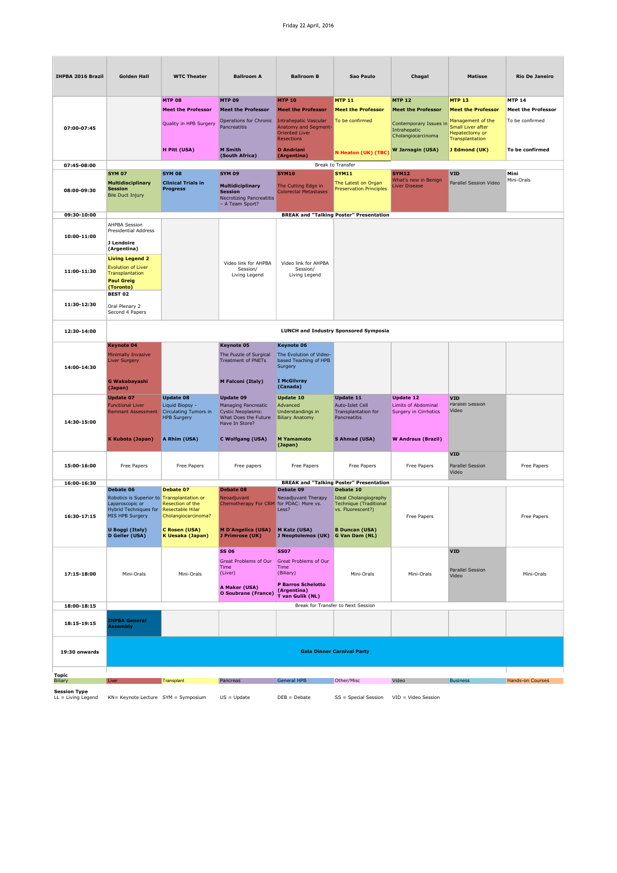## Friday 22 April, 2016

| IHPBA 2016 Brazil                           | <b>Golden Hall</b>                                                                                                                                              | <b>WTC Theater</b>                                                                 | <b>Ballroom A</b>                                                                                             | <b>Ballroom B</b>                                                                                                                | Sao Paulo                                                                                                   | Chagal                                                           | <b>Matisse</b>                                                              | <b>Rio De Janeiro</b>     |
|---------------------------------------------|-----------------------------------------------------------------------------------------------------------------------------------------------------------------|------------------------------------------------------------------------------------|---------------------------------------------------------------------------------------------------------------|----------------------------------------------------------------------------------------------------------------------------------|-------------------------------------------------------------------------------------------------------------|------------------------------------------------------------------|-----------------------------------------------------------------------------|---------------------------|
|                                             |                                                                                                                                                                 | <b>MTP 08</b>                                                                      | <b>MTP 09</b>                                                                                                 | <b>MTP 10</b>                                                                                                                    | <b>MTP 11</b>                                                                                               | <b>MTP 12</b>                                                    | <b>MTP 13</b>                                                               | <b>MTP 14</b>             |
|                                             |                                                                                                                                                                 | <b>Meet the Professor</b>                                                          | <b>Meet the Professor</b>                                                                                     | <b>Meet the Professor</b>                                                                                                        | <b>Meet the Professor</b>                                                                                   | <b>Meet the Professor</b>                                        | <b>Meet the Professor</b>                                                   | <b>Meet the Professor</b> |
| 07:00-07:45                                 |                                                                                                                                                                 | Quality in HPB Surgery                                                             | Operations for Chronic<br>Pancreatitis                                                                        | <b>Intrahepatic Vascular</b><br>Anatomy and Segment-<br><b>Oriented Liver</b><br><b>Resections</b>                               | To be confirmed                                                                                             | Contemporary Issues in<br>Intrahepatic<br>Cholangiocarcinoma     | Management of the<br>Small Liver after<br>Hepatectomy or<br>Transplantation | To be confirmed           |
|                                             |                                                                                                                                                                 | H Pitt (USA)                                                                       | <b>M</b> Smith<br>(South Africa)                                                                              | <b>O</b> Andriani                                                                                                                | N Heaton (UK) (TBC)                                                                                         | W Jarnagin (USA)                                                 | J Edmond (UK)                                                               | To be confirmed           |
| 07:45-08:00                                 |                                                                                                                                                                 |                                                                                    |                                                                                                               | (Argentina)                                                                                                                      | Break to Transfer                                                                                           |                                                                  |                                                                             |                           |
|                                             | <b>SYM 07</b>                                                                                                                                                   | <b>SYM 08</b>                                                                      | <b>SYM 09</b>                                                                                                 | <b>SYM10</b>                                                                                                                     | <b>SYM11</b>                                                                                                | <b>SYM12</b>                                                     | <b>VID</b>                                                                  | Mini                      |
| 08:00-09:30                                 | Multidisciplinary<br><b>Session</b><br><b>Bile Duct Injury</b>                                                                                                  | <b>Clinical Trials in</b><br>Progress                                              | <b>Multidiciplinary</b><br><b>Session</b><br><b>Necrotizing Pancreatitis</b><br>- A Team Sport?               | The Cutting Edge in<br><b>Colorectal Metastases</b>                                                                              | The Latest on Organ<br><b>Preservation Principles</b>                                                       | What's new in Benign<br>Liver Disease                            | Parallel Session Video                                                      | Mini-Orals                |
| 09:30-10:00                                 |                                                                                                                                                                 |                                                                                    |                                                                                                               |                                                                                                                                  | <b>BREAK and "Talking Poster" Presentation</b>                                                              |                                                                  |                                                                             |                           |
| 10:00-11:00                                 | <b>AHPBA Session</b><br><b>Presidential Address</b><br>J Lendoire<br>(Argentina)                                                                                |                                                                                    |                                                                                                               |                                                                                                                                  |                                                                                                             |                                                                  |                                                                             |                           |
| 11:00-11:30                                 | <b>Living Legend 2</b><br><b>Evolution of Liver</b><br>Transplantation<br><b>Paul Greig</b><br>(Toronto)                                                        |                                                                                    | Video link for AHPBA<br>Session/<br>Living Legend                                                             | Video link for AHPBA<br>Session/<br>Living Legend                                                                                |                                                                                                             |                                                                  |                                                                             |                           |
| 11:30-12:30                                 | <b>BEST 02</b><br>Oral Plenary 2<br>Second 4 Papers                                                                                                             |                                                                                    |                                                                                                               |                                                                                                                                  |                                                                                                             |                                                                  |                                                                             |                           |
| 12:30-14:00                                 |                                                                                                                                                                 |                                                                                    |                                                                                                               |                                                                                                                                  | <b>LUNCH and Industry Sponsored Symposia</b>                                                                |                                                                  |                                                                             |                           |
|                                             | <b>Keynote 04</b>                                                                                                                                               |                                                                                    | <b>Keynote 05</b>                                                                                             | Keynote 06                                                                                                                       |                                                                                                             |                                                                  |                                                                             |                           |
| 14:00-14:30                                 | Minimally Invasive<br><b>Liver Surgery</b>                                                                                                                      |                                                                                    | The Puzzle of Surgical<br><b>Treatment of PNETs</b>                                                           | The Evolution of Video-<br>based Teaching of HPB<br>Surgery                                                                      |                                                                                                             |                                                                  |                                                                             |                           |
|                                             | G Wakabayashi<br>(Japan)                                                                                                                                        |                                                                                    | M Falconi (Italy)                                                                                             | I McGilvray<br>(Canada)                                                                                                          |                                                                                                             |                                                                  |                                                                             |                           |
| 14:30-15:00                                 | <b>Update 07</b><br><b>Functional Liver</b><br><b>Remnant Assessment</b>                                                                                        | <b>Update 08</b><br>Liquid Biopsy -<br>Circulating Tumors in<br><b>HPB Surgery</b> | <b>Update 09</b><br>Managing Pancreatic<br><b>Cystic Neoplasms:</b><br>What Does the Future<br>Have In Store? | <b>Update 10</b><br>Advanced<br>Understandings in<br><b>Biliary Anatomy</b>                                                      | <b>Update 11</b><br>Auto-Islet Cell<br>Transplantation for<br>Pancreatitis                                  | <b>Update 12</b><br>Limits of Abdominal<br>Surgery in Cirrhotics | <b>VID</b><br>Parallel Session<br>Video                                     |                           |
|                                             | <b>K Kubota (Japan)</b>                                                                                                                                         | A Rhim (USA)                                                                       | C Wolfgang (USA)                                                                                              | <b>M</b> Yamamoto<br>(Japan)                                                                                                     | S Ahmad (USA)                                                                                               | <b>W Andraus (Brazil)</b>                                        |                                                                             |                           |
| 15:00-16:00                                 | Free Papers                                                                                                                                                     | Free Papers                                                                        | Free papers                                                                                                   | Free Papers                                                                                                                      | Free Papers                                                                                                 | Free Papers                                                      | <b>VID</b><br>Parallel Session<br>Video                                     | Free Papers               |
| 16:00-16:30                                 | Debate 06                                                                                                                                                       | Debate 07                                                                          | Debate 08                                                                                                     | Debate 09                                                                                                                        | <b>BREAK and "Talking Poster" Presentation</b><br>Debate 10                                                 |                                                                  |                                                                             |                           |
| 16:30-17:15                                 | Robotics is Superior to Transplantation or<br>Laparoscopic or<br>Hybrid Techniques for Resectable Hilar<br>MIS HPB Surgery<br>U Boggi (Italy)<br>D Geller (USA) | Resection of the<br>Cholangiocarcinoma?<br>C Rosen (USA)<br>K Uesaka (Japan)       | Neoadjuvant<br>Chemotherapy For CRM for PDAC: More vs.<br><b>M D'Angelica (USA)</b><br>J Primrose (UK)        | Neoadjuvant Therapy<br>Less?<br>M Katz (USA)<br>J Neoptolemos (UK) G Van Dam (NL)                                                | <b>Ideal Cholangiography</b><br><b>Technique (Traditional</b><br>vs. Fluorescent?)<br><b>B Duncan (USA)</b> | Free Papers                                                      |                                                                             | Free Papers               |
|                                             |                                                                                                                                                                 |                                                                                    |                                                                                                               |                                                                                                                                  |                                                                                                             |                                                                  |                                                                             |                           |
| 17:15-18:00                                 | Mini-Orals                                                                                                                                                      | Mini-Orals                                                                         | <b>SS 06</b><br><b>Great Problems of Our</b><br>Time<br>(Liver)<br>A Maker (USA)<br>O Soubrane (France)       | <b>SS07</b><br><b>Great Problems of Our</b><br>Time<br>(Biliary)<br><b>P Barros Schelotto</b><br>(Argentina)<br>T van Gulik (NL) | Mini-Orals                                                                                                  | Mini-Orals                                                       | <b>VID</b><br>Parallel Session<br>Video                                     | Mini-Orals                |
| 18:00-18:15                                 |                                                                                                                                                                 |                                                                                    |                                                                                                               |                                                                                                                                  | Break for Transfer to Next Session                                                                          |                                                                  |                                                                             |                           |
| 18:15-19:15                                 | <b>HPBA General</b><br><b>Assembly</b>                                                                                                                          |                                                                                    |                                                                                                               |                                                                                                                                  |                                                                                                             |                                                                  |                                                                             |                           |
| 19:30 onwards                               |                                                                                                                                                                 |                                                                                    |                                                                                                               |                                                                                                                                  | <b>Gala Dinner Carnival Party</b>                                                                           |                                                                  |                                                                             |                           |
| Topic                                       |                                                                                                                                                                 |                                                                                    |                                                                                                               |                                                                                                                                  |                                                                                                             |                                                                  |                                                                             |                           |
| Biliary                                     | Liver                                                                                                                                                           | Transplant                                                                         | Pancreas                                                                                                      | <b>General HPB</b>                                                                                                               | Other/Misc                                                                                                  | Video                                                            | <b>Business</b>                                                             | Hands-on Courses          |
| <b>Session Type</b><br>$LL = Living Legend$ | KN= Keynote Lecture SYM = Symposium                                                                                                                             |                                                                                    | $US = Update$                                                                                                 | $DEB = Debate$                                                                                                                   | SS = Special Session                                                                                        | $VID = Video Session$                                            |                                                                             |                           |